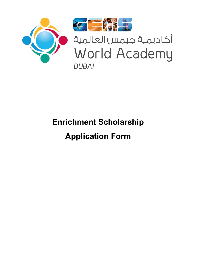

# **Enrichment Scholarship Application Form**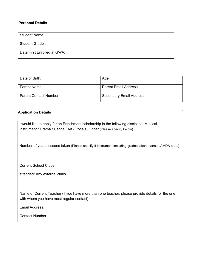### **Personal Details**

| <b>Student Name:</b>        |
|-----------------------------|
| Student Grade:              |
| Date First Enrolled at GWA: |

| Date of Birth:                | Age:                     |
|-------------------------------|--------------------------|
| Parent Name:                  | Parent Email Address:    |
| <b>Parent Contact Number:</b> | Secondary Email Address: |

## **Application Details**

| I would like to apply for an Enrichment scholarship in the following discipline: Musical<br>Instrument / Drama / Dance / Art / Vocals / Other (Please specify below). |
|-----------------------------------------------------------------------------------------------------------------------------------------------------------------------|
| Number of years lessons taken (Please specify if instrument including grades taken, dance LAMDA etc)                                                                  |
| <b>Current School Clubs</b>                                                                                                                                           |
| attended: Any external clubs                                                                                                                                          |
|                                                                                                                                                                       |
| Name of Current Teacher (if you have more than one teacher, please provide details for the one<br>with whom you have most regular contact):                           |
| Email Address:                                                                                                                                                        |

Contact Number: